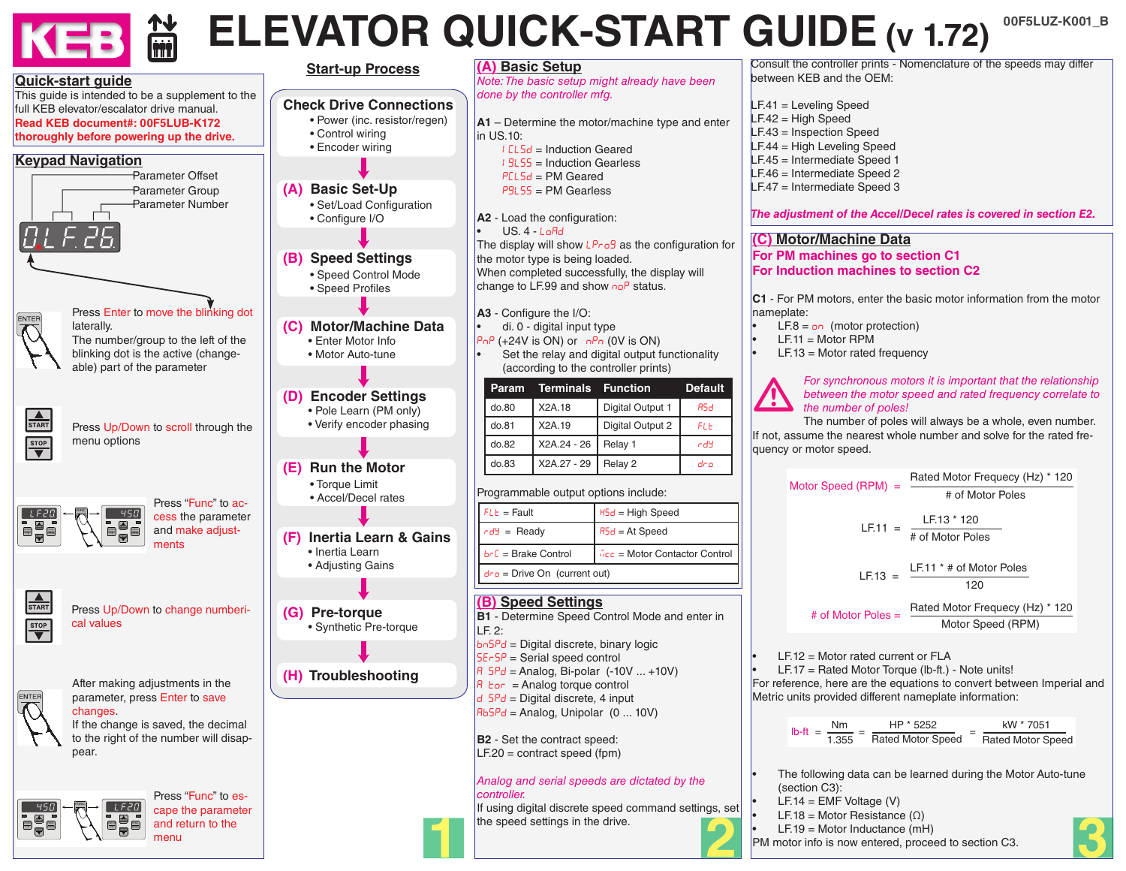# **LANDING ELEVATOR QUICK-START GUIDE (v 1.72)**

**3**

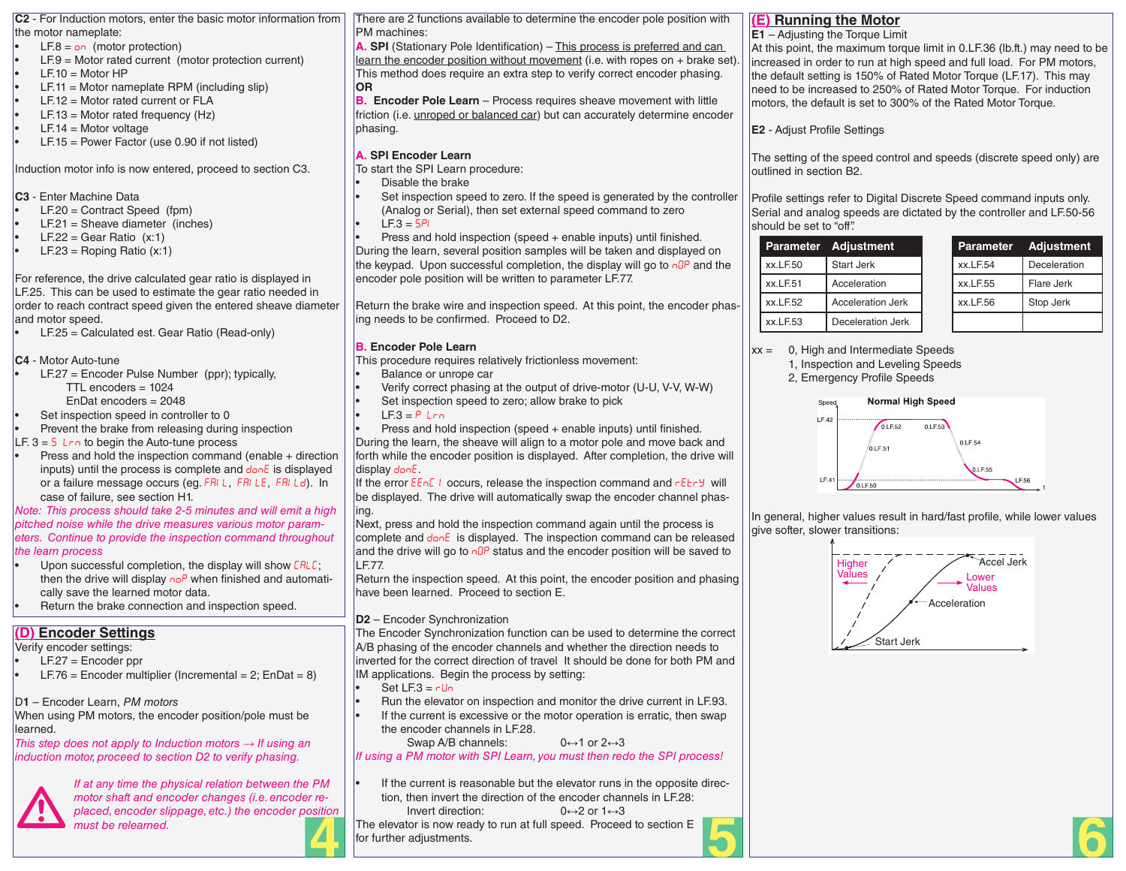**C2** - For Induction motors, enter the basic motor information from the motor nameplate:

- $LEB = \rho n$  (motor protection)
- $LE.9 = Motor$  rated current (motor protection current)
- $E = 10$  = Motor HP
- $LE.11 = Motor$  nameplate RPM (including slip)
- $LEF.12 = Motor$  rated current or  $FLA$
- $LE.13 = Motor$  rated frequency (Hz)
- $LF.14 = Motor voltage$
- $LF.15 = Power Factor$  (use 0.90 if not listed)

Induction motor info is now entered, proceed to section C3.

**C3** - Enter Machine Data

- $LE.20 =$  Contract Speed (fpm)
- $LF.21$  = Sheave diameter (inches)
- $LF.22 = Gear Ratio (x:1)$
- $LE.23 = Roping Ratio (x:1)$

For reference, the drive calculated gear ratio is displayed in LF.25. This can be used to estimate the gear ratio needed in order to reach contract speed given the entered sheave diameter and motor speed.

 $LF.25 =$  Calculated est. Gear Ratio (Read-only)

**C4** - Motor Auto-tune

- $LE.27$  = Encoder Pulse Number (ppr); typically,
	- TTL encoders = 1024
	- EnDat encoders = 2048
- Set inspection speed in controller to 0

Prevent the brake from releasing during inspection LF.  $3 = 5$  L<sub>rn</sub> to begin the Auto-tune process

Press and hold the inspection command (enable  $+$  direction inputs) until the process is complete and donE is displayed or a failure message occurs (eg. FRIL, FRILE, FRILd). In case of failure, see section H1.

*Note: This process should take 2-5 minutes and will emit a high pitched noise while the drive measures various motor parameters. Continue to provide the inspection command throughout the learn process*

- Upon successful completion, the display will show  $ERLE$ ; then the drive will display  $n e^p$  when finished and automatically save the learned motor data.
- Return the brake connection and inspection speed.

# **(D) Encoder Settings**

Verify encoder settings:

- $LF.27 =$  Encoder ppr
- $LF.76$  = Encoder multiplier (Incremental = 2; EnDat = 8)
- D**1** Encoder Learn, *PM motors*

When using PM motors, the encoder position/pole must be learned.

*This step does not apply to Induction motors → If using an induction motor, proceed to section D2 to verify phasing.*



*If at any time the physical relation between the PM motor shaft and encoder changes (i.e. encoder replaced, encoder slippage, etc.) the encoder position must be relearned.* There are 2 functions available to determine the encoder pole position with PM machines:

**A. SPI** (Stationary Pole Identification) – This process is preferred and can learn the encoder position without movement (i.e. with ropes on + brake set). This method does require an extra step to verify correct encoder phasing. **OR**

**B.** Encoder Pole Learn – Process requires sheave movement with little friction (i.e. unroped or balanced car) but can accurately determine encoder phasing.

# **A. SPI Encoder Learn**

To start the SPI Learn procedure:

- Disable the brake
- Set inspection speed to zero. If the speed is generated by the controller (Analog or Serial), then set external speed command to zero
- $LE3 = 5PI$

Press and hold inspection (speed  $+$  enable inputs) until finished. During the learn, several position samples will be taken and displayed on the keypad. Upon successful completion, the display will go to  $n\Omega P$  and the encoder pole position will be written to parameter LF.77.

Return the brake wire and inspection speed. At this point, the encoder phasing needs to be confirmed. Proceed to D2.

# **B. Encoder Pole Learn**

This procedure requires relatively frictionless movement:

- Balance or unrope car
- Verify correct phasing at the output of drive-motor (U-U, V-V, W-W)
- Set inspection speed to zero; allow brake to pick
- $LE.3 = P Lrn$

Press and hold inspection (speed  $+$  enable inputs) until finished. During the learn, the sheave will align to a motor pole and move back and forth while the encoder position is displayed. After completion, the drive will display donE.

If the error  $EEnE + \text{occurs}$ , release the inspection command and  $EErB$  will be displayed. The drive will automatically swap the encoder channel phasing.

Next, press and hold the inspection command again until the process is complete and  $\frac{d}{2}$  is displayed. The inspection command can be released and the drive will go to  $n\Omega P$  status and the encoder position will be saved to LF.77.

Return the inspection speed. At this point, the encoder position and phasing have been learned. Proceed to section E.

# **D2** – Encoder Synchronization

The Encoder Synchronization function can be used to determine the correct A/B phasing of the encoder channels and whether the direction needs to inverted for the correct direction of travel It should be done for both PM and IM applications. Begin the process by setting:

- Set  $LE3 = rUn$
- Run the elevator on inspection and monitor the drive current in LF.93.
- If the current is excessive or the motor operation is erratic, then swap the encoder channels in LF.28.
	- Swap A/B channels:  $0 \leftrightarrow 1$  or  $2 \leftrightarrow 3$

*If using a PM motor with SPI Learn, you must then redo the SPI process!*

If the current is reasonable but the elevator runs in the opposite direction, then invert the direction of the encoder channels in LF.28:

Invert direction:  $0 \leftrightarrow 2$  or  $1 \leftrightarrow 3$ 

The elevator is now ready to run at full speed. Proceed to section E for further adjustments. The elevator is now ready to run at full speed. Proceed to section E<br>for further adjustments.

# **(E) Running the Motor**

#### **E1** – Adjusting the Torque Limit

At this point, the maximum torque limit in 0.LF.36 (lb.ft.) may need to be increased in order to run at high speed and full load. For PM motors, the default setting is 150% of Rated Motor Torque (LF.17). This may need to be increased to 250% of Rated Motor Torque. For induction motors, the default is set to 300% of the Rated Motor Torque.

**E2** - Adjust Profile Settings

The setting of the speed control and speeds (discrete speed only) are outlined in section B2.

Profile settings refer to Digital Discrete Speed command inputs only. Serial and analog speeds are dictated by the controller and LF.50-56 should be set to "off".

|            | Parameter Adjustment |          | Parameter Adjustment |
|------------|----------------------|----------|----------------------|
| xx.LF.50   | <b>Start Jerk</b>    | xx.LF.54 | Deceleration         |
| $xx$ LF.51 | Acceleration         | xx.LF.55 | Flare Jerk           |
| xx.LF.52   | Acceleration Jerk    | xx.LF.56 | Stop Jerk            |
| xx.LF.53   | Deceleration Jerk    |          |                      |

| Parameter       | <b>Adjustment</b> |
|-----------------|-------------------|
| <b>xx.LF.54</b> | Deceleration      |
| xx.LF.55        | Flare Jerk        |
| xx.LF.56        | Stop Jerk         |
|                 |                   |

 $xx = 0$ , High and Intermediate Speeds 1, Inspection and Leveling Speeds

2, Emergency Profile Speeds



In general, higher values result in hard/fast profile, while lower values give softer, slower transitions:



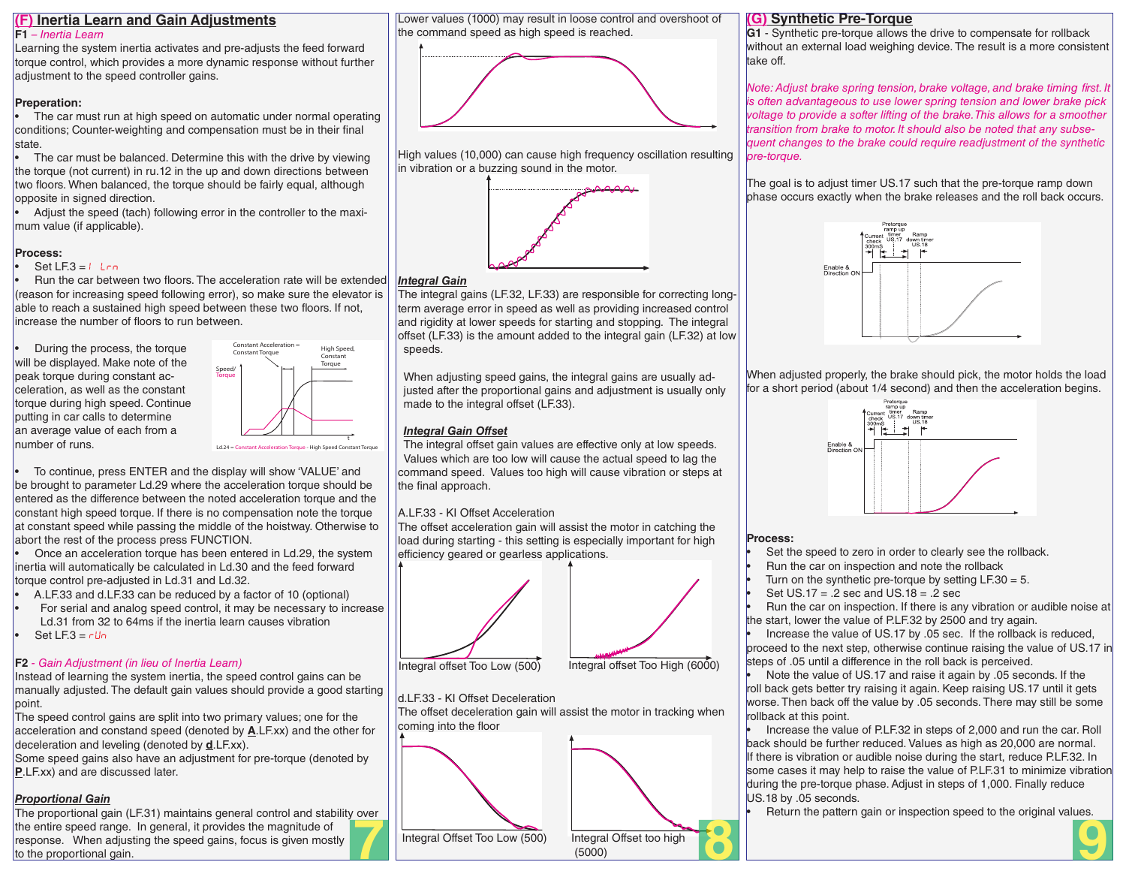#### **(F) Inertia Learn and Gain Adjustments F1** *– Inertia Learn*

Learning the system inertia activates and pre-adjusts the feed forward torque control, which provides a more dynamic response without further adjustment to the speed controller gains.

#### **Preperation:**

The car must run at high speed on automatic under normal operating conditions; Counter-weighting and compensation must be in their final state.

The car must be balanced. Determine this with the drive by viewing the torque (not current) in ru.12 in the up and down directions between two floors. When balanced, the torque should be fairly equal, although opposite in signed direction.

• Adjust the speed (tach) following error in the controller to the maximum value (if applicable).

### **Process:**

#### Set LF.3 =  $I$  Lrn

• Run the car between two floors. The acceleration rate will be extended (reason for increasing speed following error), so make sure the elevator is able to reach a sustained high speed between these two floors. If not, increase the number of floors to run between.

• During the process, the torque will be displayed. Make note of the peak torque during constant acceleration, as well as the constant torque during high speed. Continue putting in car calls to determine an average value of each from a number of runs.



Ld.24 = Constant Acceleration Torque - High Speed Constant Torque

• To continue, press ENTER and the display will show 'VALUE' and be brought to parameter Ld.29 where the acceleration torque should be entered as the difference between the noted acceleration torque and the constant high speed torque. If there is no compensation note the torque at constant speed while passing the middle of the hoistway. Otherwise to abort the rest of the process press FUNCTION.

• Once an acceleration torque has been entered in Ld.29, the system inertia will automatically be calculated in Ld.30 and the feed forward torque control pre-adjusted in Ld.31 and Ld.32.

- A.LF.33 and d.LF.33 can be reduced by a factor of 10 (optional)
- For serial and analog speed control, it may be necessary to increase Ld.31 from 32 to 64ms if the inertia learn causes vibration Set LF. $3 = r \ln$

#### **F2** *- Gain Adjustment (in lieu of Inertia Learn)*

Instead of learning the system inertia, the speed control gains can be manually adjusted. The default gain values should provide a good starting point.

The speed control gains are split into two primary values; one for the acceleration and constand speed (denoted by **A**.LF.xx) and the other for deceleration and leveling (denoted by **d**.LF.xx).

Some speed gains also have an adjustment for pre-torque (denoted by **P**.LF.xx) and are discussed later.

#### *Proportional Gain*

The proportional gain (LF.31) maintains general control and stability over the entire speed range. In general, it provides the magnitude of response. When adjusting the speed gains, focus is given mostly to the proportional gain.

Lower values (1000) may result in loose control and overshoot of the command speed as high speed is reached.



High values (10,000) can cause high frequency oscillation resulting in vibration or a buzzing sound in the motor.



### *Integral Gain*

The integral gains (LF.32, LF.33) are responsible for correcting longterm average error in speed as well as providing increased control and rigidity at lower speeds for starting and stopping. The integral offset (LF.33) is the amount added to the integral gain (LF.32) at low speeds.

When adjusting speed gains, the integral gains are usually adjusted after the proportional gains and adjustment is usually only made to the integral offset (LF.33).

### *Integral Gain Offset*

The integral offset gain values are effective only at low speeds. Values which are too low will cause the actual speed to lag the command speed. Values too high will cause vibration or steps at the final approach.

#### A.LF.33 - KI Offset Acceleration

The offset acceleration gain will assist the motor in catching the load during starting - this setting is especially important for high efficiency geared or gearless applications.



d.LF.33 - KI Offset Deceleration

The offset deceleration gain will assist the motor in tracking when coming into the floor



#### **(G) Synthetic Pre-Torque**

**G1** - Synthetic pre-torque allows the drive to compensate for rollback without an external load weighing device. The result is a more consistent take off.

*Note: Adjust brake spring tension, brake voltage, and brake timing first. It is often advantageous to use lower spring tension and lower brake pick voltage to provide a softer lifting of the brake. This allows for a smoother transition from brake to motor. It should also be noted that any subsequent changes to the brake could require readjustment of the synthetic pre-torque.* 

The goal is to adjust timer US.17 such that the pre-torque ramp down phase occurs exactly when the brake releases and the roll back occurs.



When adjusted properly, the brake should pick, the motor holds the load for a short period (about 1/4 second) and then the acceleration begins.



#### **Process:**

Set the speed to zero in order to clearly see the rollback.

• Run the car on inspection and note the rollback

Turn on the synthetic pre-torque by setting  $LF.30 = 5$ .

Set  $US.17 = .2$  sec and  $US.18 = .2$  sec

• Run the car on inspection. If there is any vibration or audible noise at the start, lower the value of P.LF.32 by 2500 and try again.

• Increase the value of US.17 by .05 sec. If the rollback is reduced, proceed to the next step, otherwise continue raising the value of US.17 in steps of .05 until a difference in the roll back is perceived.

• Note the value of US.17 and raise it again by .05 seconds. If the roll back gets better try raising it again. Keep raising US.17 until it gets worse. Then back off the value by .05 seconds. There may still be some rollback at this point.

• Increase the value of P.LF.32 in steps of 2,000 and run the car. Roll back should be further reduced. Values as high as 20,000 are normal. If there is vibration or audible noise during the start, reduce P.LF.32. In some cases it may help to raise the value of P.LF.31 to minimize vibration during the pre-torque phase. Adjust in steps of 1,000. Finally reduce US.18 by .05 seconds.

Return the pattern gain or inspection speed to the original values.



Integral offset Too Low (500) Integral offset Too High (6000)